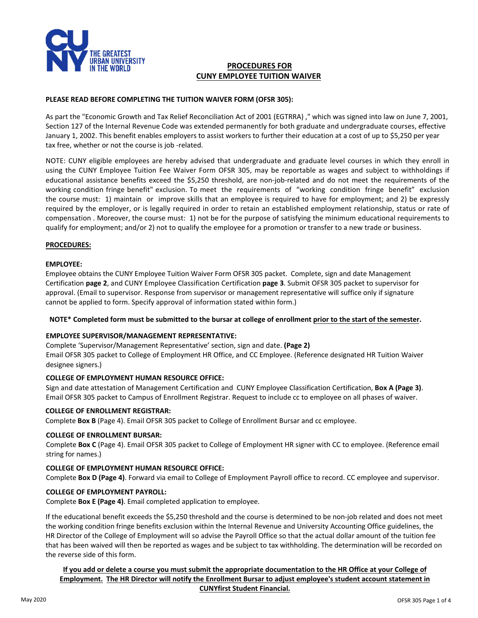

## **PROCEDURES FOR CUNY EMPLOYEE TUITION WAIVER**

## **PLEASE READ BEFORE COMPLETING THE TUITION WAIVER FORM (OFSR 305):**

As part the "Economic Growth and Tax Relief Reconciliation Act of 2001 (EGTRRA) ," which was signed into law on June 7, 2001, Section 127 of the Internal Revenue Code was extended permanently for both graduate and undergraduate courses, effective January 1, 2002. This benefit enables employers to assist workers to further their education at a cost of up to \$5,250 per year tax free, whether or not the course is job -related.

NOTE: CUNY eligible employees are hereby advised that undergraduate and graduate level courses in which they enroll in using the CUNY Employee Tuition Fee Waiver Form OFSR 305, may be reportable as wages and subject to withholdings if educational assistance benefits exceed the \$5,250 threshold, are non-job-related and do not meet the requirements of the working condition fringe benefit" exclusion. To meet the requirements of "working condition fringe benefit" exclusion the course must: 1) maintain or improve skills that an employee is required to have for employment; and 2) be expressly required by the employer, or is legally required in order to retain an established employment relationship, status or rate of compensation . Moreover, the course must: 1) not be for the purpose of satisfying the minimum educational requirements to qualify for employment; and/or 2) not to qualify the employee for a promotion or transfer to a new trade or business.

#### **PROCEDURES:**

#### **EMPLOYEE:**

Employee obtains the CUNY Employee Tuition Waiver Form OFSR 305 packet. Complete, sign and date Management Certification **page 2**, and CUNY Employee Classification Certification **page 3**. Submit OFSR 305 packet to supervisor for approval. (Email to supervisor. Response from supervisor or management representative will suffice only if signature cannot be applied to form. Specify approval of information stated within form.)

## **NOTE\* Completed form must be submitted to the bursar at college of enrollment prior to the start of the semester.**

#### **EMPLOYEE SUPERVISOR/MANAGEMENT REPRESENTATIVE:**

Complete 'Supervisor/Management Representative' section, sign and date. **(Page 2)** Email OFSR 305 packet to College of Employment HR Office, and CC Employee. (Reference designated HR Tuition Waiver designee signers.)

## **COLLEGE OF EMPLOYMENT HUMAN RESOURCE OFFICE:**

Sign and date attestation of Management Certification and CUNY Employee Classification Certification, **Box A (Page 3)**. Email OFSR 305 packet to Campus of Enrollment Registrar. Request to include cc to employee on all phases of waiver.

#### **COLLEGE OF ENROLLMENT REGISTRAR:**

Complete **Box B** (Page 4). Email OFSR 305 packet to College of Enrollment Bursar and cc employee.

#### **COLLEGE OF ENROLLMENT BURSAR:**

Complete **Box C** (Page 4). Email OFSR 305 packet to College of Employment HR signer with CC to employee. (Reference email string for names.)

## **COLLEGE OF EMPLOYMENT HUMAN RESOURCE OFFICE:**

Complete **Box D (Page 4)**. Forward via email to College of Employment Payroll office to record. CC employee and supervisor.

#### **COLLEGE OF EMPLOYMENT PAYROLL:**

Complete **Box E (Page 4)**. Email completed application to employee.

If the educational benefit exceeds the \$5,250 threshold and the course is determined to be non-job related and does not meet the working condition fringe benefits exclusion within the Internal Revenue and University Accounting Office guidelines, the HR Director of the College of Employment will so advise the Payroll Office so that the actual dollar amount of the tuition fee that has been waived will then be reported as wages and be subject to tax withholding. The determination will be recorded on the reverse side of this form.

**If you add or delete a course you must submit the appropriate documentation to the HR Office at your College of Employment. The HR Director will notify the Enrollment Bursar to adjust employee's student account statement in CUNYfirst Student Financial.**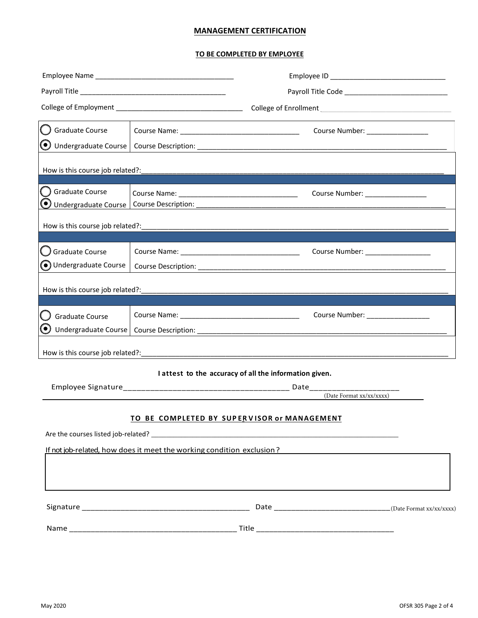## **MANAGEMENT CERTIFICATION**

## **TO BE COMPLETED BY EMPLOYEE**

| Payroll Title _________                          |                                             |                                                                       |  |
|--------------------------------------------------|---------------------------------------------|-----------------------------------------------------------------------|--|
|                                                  |                                             |                                                                       |  |
| Graduate Course                                  |                                             | Course Number: _________________                                      |  |
| $\left( \bullet \right)$<br>Undergraduate Course |                                             |                                                                       |  |
|                                                  |                                             |                                                                       |  |
| How is this course job related?:                 |                                             |                                                                       |  |
| Graduate Course                                  |                                             | Course Number: _________________                                      |  |
| Undergraduate Course                             |                                             |                                                                       |  |
| How is this course job related?:                 |                                             |                                                                       |  |
|                                                  |                                             |                                                                       |  |
| Graduate Course                                  |                                             | Course Number: ___________________                                    |  |
| O Undergraduate Course                           |                                             |                                                                       |  |
|                                                  |                                             |                                                                       |  |
|                                                  |                                             |                                                                       |  |
| <b>Graduate Course</b>                           |                                             | Course Number: _________________                                      |  |
| Undergraduate Course                             |                                             |                                                                       |  |
|                                                  |                                             |                                                                       |  |
|                                                  |                                             |                                                                       |  |
|                                                  |                                             | I attest to the accuracy of all the information given.                |  |
|                                                  |                                             | (Date Format xx/xx/xxxx)                                              |  |
|                                                  |                                             |                                                                       |  |
|                                                  | TO BE COMPLETED BY SUPERVISOR or MANAGEMENT |                                                                       |  |
|                                                  |                                             |                                                                       |  |
|                                                  |                                             | If not job-related, how does it meet the working condition exclusion? |  |
|                                                  |                                             |                                                                       |  |
|                                                  |                                             |                                                                       |  |
|                                                  |                                             |                                                                       |  |
|                                                  |                                             |                                                                       |  |
|                                                  |                                             |                                                                       |  |
|                                                  |                                             |                                                                       |  |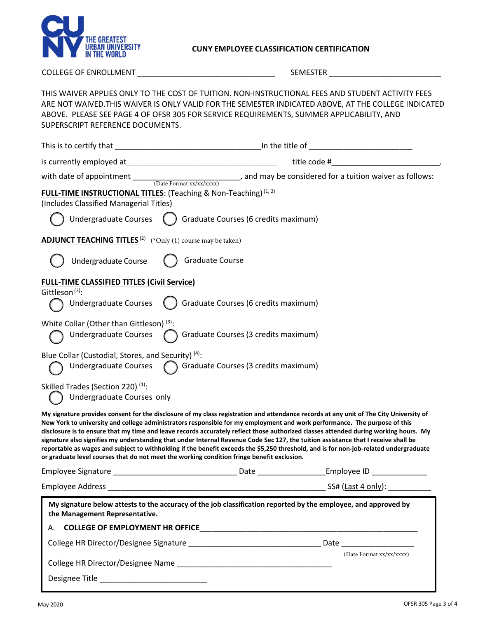

# **CUNY EMPLOYEE CLASSIFICATION CERTIFICATION**

COLLEGE OF ENROLLMENT \_\_\_\_\_\_\_\_\_\_\_\_\_\_\_\_\_\_\_\_\_\_\_\_\_\_\_\_\_\_\_\_ SEMESTER \_\_\_\_\_\_\_\_\_\_\_\_\_\_\_\_\_\_\_\_\_\_\_\_\_\_

| THIS WAIVER APPLIES ONLY TO THE COST OF TUITION. NON-INSTRUCTIONAL FEES AND STUDENT ACTIVITY FEES<br>ARE NOT WAIVED. THIS WAIVER IS ONLY VALID FOR THE SEMESTER INDICATED ABOVE, AT THE COLLEGE INDICATED<br>ABOVE. PLEASE SEE PAGE 4 OF OFSR 305 FOR SERVICE REQUIREMENTS, SUMMER APPLICABILITY, AND<br>SUPERSCRIPT REFERENCE DOCUMENTS.                                                                                                                                                                                                                                                                                                                                                                                                                                                |                                      |                                                                                                      |
|------------------------------------------------------------------------------------------------------------------------------------------------------------------------------------------------------------------------------------------------------------------------------------------------------------------------------------------------------------------------------------------------------------------------------------------------------------------------------------------------------------------------------------------------------------------------------------------------------------------------------------------------------------------------------------------------------------------------------------------------------------------------------------------|--------------------------------------|------------------------------------------------------------------------------------------------------|
| This is to certify that                                                                                                                                                                                                                                                                                                                                                                                                                                                                                                                                                                                                                                                                                                                                                                  |                                      |                                                                                                      |
|                                                                                                                                                                                                                                                                                                                                                                                                                                                                                                                                                                                                                                                                                                                                                                                          |                                      | title code # and the code + and the code + and the code + and the code + and the code + and the code |
| with date of appointment $\frac{1}{(Date \text{ Format xx}/\text{xx}/\text{xxxx})}$ , and may be considered for a tuition waiver as follows:<br>FULL-TIME INSTRUCTIONAL TITLES: (Teaching & Non-Teaching) <sup>(1, 2)</sup>                                                                                                                                                                                                                                                                                                                                                                                                                                                                                                                                                              |                                      |                                                                                                      |
| (Includes Classified Managerial Titles)                                                                                                                                                                                                                                                                                                                                                                                                                                                                                                                                                                                                                                                                                                                                                  |                                      |                                                                                                      |
| Undergraduate Courses $\left( \quad \right)$ Graduate Courses (6 credits maximum)                                                                                                                                                                                                                                                                                                                                                                                                                                                                                                                                                                                                                                                                                                        |                                      |                                                                                                      |
| <b>ADJUNCT TEACHING TITLES</b> <sup>(2)</sup> (*Only (1) course may be taken)                                                                                                                                                                                                                                                                                                                                                                                                                                                                                                                                                                                                                                                                                                            |                                      |                                                                                                      |
| <b>Graduate Course</b><br>Undergraduate Course                                                                                                                                                                                                                                                                                                                                                                                                                                                                                                                                                                                                                                                                                                                                           |                                      |                                                                                                      |
| <b>FULL-TIME CLASSIFIED TITLES (Civil Service)</b>                                                                                                                                                                                                                                                                                                                                                                                                                                                                                                                                                                                                                                                                                                                                       |                                      |                                                                                                      |
| Gittleson <sup>(3)</sup> :<br>Undergraduate Courses                                                                                                                                                                                                                                                                                                                                                                                                                                                                                                                                                                                                                                                                                                                                      | Graduate Courses (6 credits maximum) |                                                                                                      |
| White Collar (Other than Gittleson) <sup>(3)</sup> :<br>Undergraduate Courses                                                                                                                                                                                                                                                                                                                                                                                                                                                                                                                                                                                                                                                                                                            | Graduate Courses (3 credits maximum) |                                                                                                      |
| Blue Collar (Custodial, Stores, and Security) <sup>(4)</sup> :<br>Undergraduate Courses                                                                                                                                                                                                                                                                                                                                                                                                                                                                                                                                                                                                                                                                                                  | Graduate Courses (3 credits maximum) |                                                                                                      |
| Skilled Trades (Section 220) <sup>(1)</sup> :<br>Undergraduate Courses only                                                                                                                                                                                                                                                                                                                                                                                                                                                                                                                                                                                                                                                                                                              |                                      |                                                                                                      |
| My signature provides consent for the disclosure of my class registration and attendance records at any unit of The City University of<br>New York to university and college administrators responsible for my employment and work performance. The purpose of this<br>disclosure is to ensure that my time and leave records accurately reflect those authorized classes attended during working hours. My<br>signature also signifies my understanding that under Internal Revenue Code Sec 127, the tuition assistance that I receive shall be<br>reportable as wages and subject to withholding if the benefit exceeds the \$5,250 threshold, and is for non-job-related undergraduate<br>or graduate level courses that do not meet the working condition fringe benefit exclusion. |                                      |                                                                                                      |
|                                                                                                                                                                                                                                                                                                                                                                                                                                                                                                                                                                                                                                                                                                                                                                                          |                                      |                                                                                                      |
|                                                                                                                                                                                                                                                                                                                                                                                                                                                                                                                                                                                                                                                                                                                                                                                          |                                      |                                                                                                      |
| My signature below attests to the accuracy of the job classification reported by the employee, and approved by                                                                                                                                                                                                                                                                                                                                                                                                                                                                                                                                                                                                                                                                           |                                      |                                                                                                      |
| the Management Representative.                                                                                                                                                                                                                                                                                                                                                                                                                                                                                                                                                                                                                                                                                                                                                           |                                      |                                                                                                      |
|                                                                                                                                                                                                                                                                                                                                                                                                                                                                                                                                                                                                                                                                                                                                                                                          |                                      |                                                                                                      |
|                                                                                                                                                                                                                                                                                                                                                                                                                                                                                                                                                                                                                                                                                                                                                                                          |                                      | (Date Format xx/xx/xxxx)                                                                             |
|                                                                                                                                                                                                                                                                                                                                                                                                                                                                                                                                                                                                                                                                                                                                                                                          |                                      |                                                                                                      |
|                                                                                                                                                                                                                                                                                                                                                                                                                                                                                                                                                                                                                                                                                                                                                                                          |                                      |                                                                                                      |